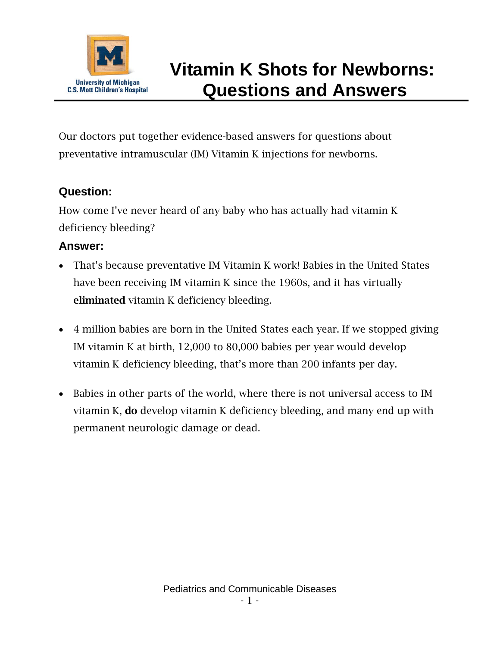

# **Vitamin K Shots for Newborns: Questions and Answers**

Our doctors put together evidence-based answers for questions about preventative intramuscular (IM) Vitamin K injections for newborns.

#### **Question:**

How come I've never heard of any baby who has actually had vitamin K deficiency bleeding?

#### **Answer:**

- That's because preventative IM Vitamin K work! Babies in the United States have been receiving IM vitamin K since the 1960s, and it has virtually eliminated vitamin K deficiency bleeding.
- 4 million babies are born in the United States each year. If we stopped giving IM vitamin K at birth, 12,000 to 80,000 babies per year would develop vitamin K deficiency bleeding, that's more than 200 infants per day.
- Babies in other parts of the world, where there is not universal access to IM vitamin K, do develop vitamin K deficiency bleeding, and many end up with permanent neurologic damage or dead.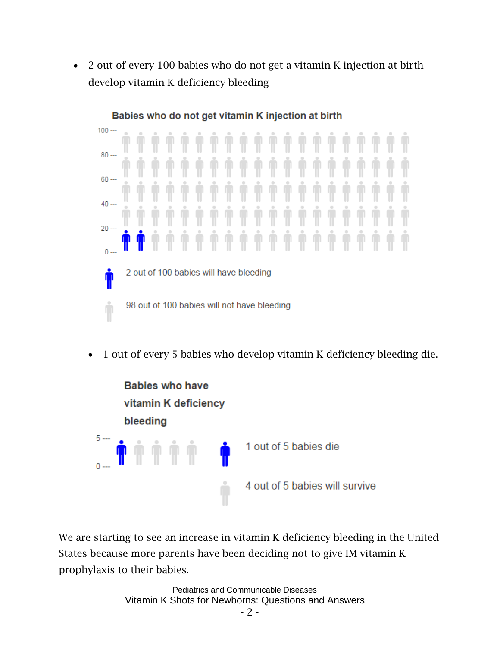• 2 out of every 100 babies who do not get a vitamin K injection at birth develop vitamin K deficiency bleeding



• 1 out of every 5 babies who develop vitamin K deficiency bleeding die.



We are starting to see an increase in vitamin K deficiency bleeding in the United States because more parents have been deciding not to give IM vitamin K prophylaxis to their babies.

> Pediatrics and Communicable Diseases Vitamin K Shots for Newborns: Questions and Answers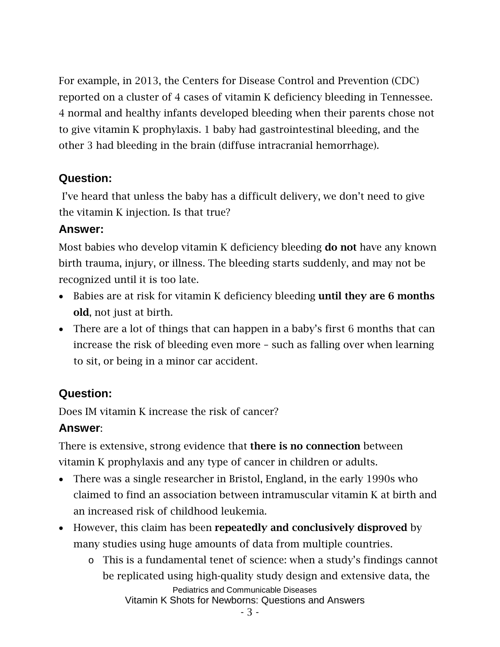For example, in 2013, the Centers for Disease Control and Prevention (CDC) reported on a cluster of 4 cases of vitamin K deficiency bleeding in Tennessee. 4 normal and healthy infants developed bleeding when their parents chose not to give vitamin K prophylaxis. 1 baby had gastrointestinal bleeding, and the other 3 had bleeding in the brain (diffuse intracranial hemorrhage).

#### **Question:**

I've heard that unless the baby has a difficult delivery, we don't need to give the vitamin K injection. Is that true?

#### **Answer:**

Most babies who develop vitamin K deficiency bleeding do not have any known birth trauma, injury, or illness. The bleeding starts suddenly, and may not be recognized until it is too late.

- Babies are at risk for vitamin K deficiency bleeding until they are 6 months old, not just at birth.
- There are a lot of things that can happen in a baby's first 6 months that can increase the risk of bleeding even more – such as falling over when learning to sit, or being in a minor car accident.

#### **Question:**

Does IM vitamin K increase the risk of cancer?

#### **Answer**:

There is extensive, strong evidence that **there is no connection** between vitamin K prophylaxis and any type of cancer in children or adults.

- There was a single researcher in Bristol, England, in the early 1990s who claimed to find an association between intramuscular vitamin K at birth and an increased risk of childhood leukemia.
- However, this claim has been repeatedly and conclusively disproved by many studies using huge amounts of data from multiple countries.
	- Pediatrics and Communicable Diseases Vitamin K Shots for Newborns: Questions and Answers o This is a fundamental tenet of science: when a study's findings cannot be replicated using high-quality study design and extensive data, the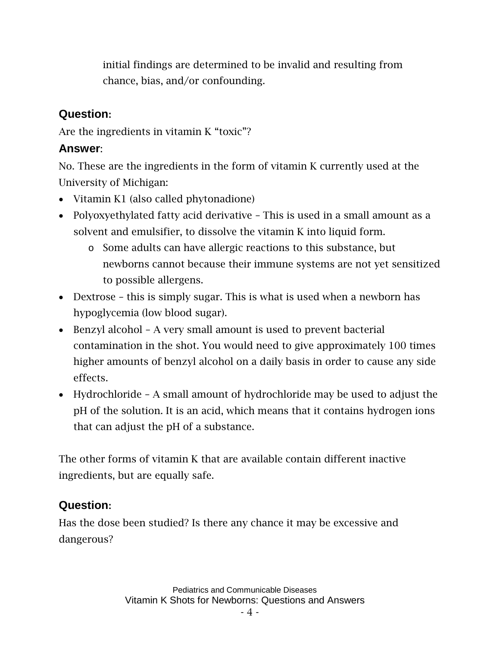initial findings are determined to be invalid and resulting from chance, bias, and/or confounding.

#### **Question:**

Are the ingredients in vitamin K "toxic"?

#### **Answer**:

No. These are the ingredients in the form of vitamin K currently used at the University of Michigan:

- Vitamin K1 (also called phytonadione)
- Polyoxyethylated fatty acid derivative This is used in a small amount as a solvent and emulsifier, to dissolve the vitamin K into liquid form.
	- o Some adults can have allergic reactions to this substance, but newborns cannot because their immune systems are not yet sensitized to possible allergens.
- Dextrose this is simply sugar. This is what is used when a newborn has hypoglycemia (low blood sugar).
- Benzyl alcohol A very small amount is used to prevent bacterial contamination in the shot. You would need to give approximately 100 times higher amounts of benzyl alcohol on a daily basis in order to cause any side effects.
- Hydrochloride A small amount of hydrochloride may be used to adjust the pH of the solution. It is an acid, which means that it contains hydrogen ions that can adjust the pH of a substance.

The other forms of vitamin K that are available contain different inactive ingredients, but are equally safe.

#### **Question:**

Has the dose been studied? Is there any chance it may be excessive and dangerous?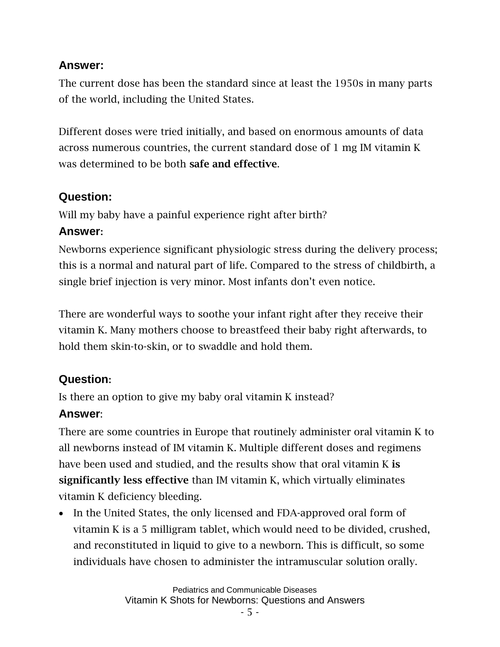#### **Answer:**

The current dose has been the standard since at least the 1950s in many parts of the world, including the United States.

Different doses were tried initially, and based on enormous amounts of data across numerous countries, the current standard dose of 1 mg IM vitamin K was determined to be both safe and effective.

## **Question:**

Will my baby have a painful experience right after birth?

## **Answer:**

Newborns experience significant physiologic stress during the delivery process; this is a normal and natural part of life. Compared to the stress of childbirth, a single brief injection is very minor. Most infants don't even notice.

There are wonderful ways to soothe your infant right after they receive their vitamin K. Many mothers choose to breastfeed their baby right afterwards, to hold them skin-to-skin, or to swaddle and hold them.

# **Question:**

Is there an option to give my baby oral vitamin K instead?

# **Answer**:

There are some countries in Europe that routinely administer oral vitamin K to all newborns instead of IM vitamin K. Multiple different doses and regimens have been used and studied, and the results show that oral vitamin K is significantly less effective than IM vitamin K, which virtually eliminates vitamin K deficiency bleeding.

• In the United States, the only licensed and FDA-approved oral form of vitamin K is a 5 milligram tablet, which would need to be divided, crushed, and reconstituted in liquid to give to a newborn. This is difficult, so some individuals have chosen to administer the intramuscular solution orally.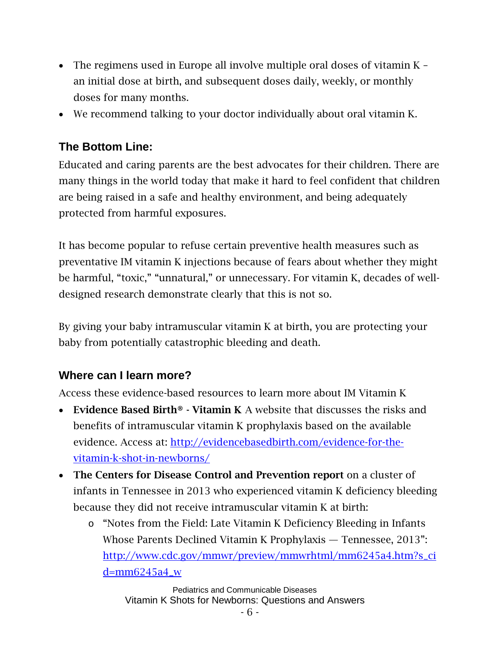- The regimens used in Europe all involve multiple oral doses of vitamin K an initial dose at birth, and subsequent doses daily, weekly, or monthly doses for many months.
- We recommend talking to your doctor individually about oral vitamin K.

## **The Bottom Line:**

Educated and caring parents are the best advocates for their children. There are many things in the world today that make it hard to feel confident that children are being raised in a safe and healthy environment, and being adequately protected from harmful exposures.

It has become popular to refuse certain preventive health measures such as preventative IM vitamin K injections because of fears about whether they might be harmful, "toxic," "unnatural," or unnecessary. For vitamin K, decades of welldesigned research demonstrate clearly that this is not so.

By giving your baby intramuscular vitamin K at birth, you are protecting your baby from potentially catastrophic bleeding and death.

#### **Where can I learn more?**

Access these evidence-based resources to learn more about IM Vitamin K

- Evidence Based Birth® Vitamin K A website that discusses the risks and benefits of intramuscular vitamin K prophylaxis based on the available evidence. Access at: [http://evidencebasedbirth.com/evidence-for-the](http://evidencebasedbirth.com/evidence-for-the-vitamin-k-shot-in-newborns/)[vitamin-k-shot-in-newborns/](http://evidencebasedbirth.com/evidence-for-the-vitamin-k-shot-in-newborns/)
- The Centers for Disease Control and Prevention report on a cluster of infants in Tennessee in 2013 who experienced vitamin K deficiency bleeding because they did not receive intramuscular vitamin K at birth:
	- o "Notes from the Field: Late Vitamin K Deficiency Bleeding in Infants Whose Parents Declined Vitamin K Prophylaxis — Tennessee, 2013": [http://www.cdc.gov/mmwr/preview/mmwrhtml/mm6245a4.htm?s\\_ci](http://www.cdc.gov/mmwr/preview/mmwrhtml/mm6245a4.htm?s_cid=mm6245a4_w) [d=mm6245a4\\_w](http://www.cdc.gov/mmwr/preview/mmwrhtml/mm6245a4.htm?s_cid=mm6245a4_w)